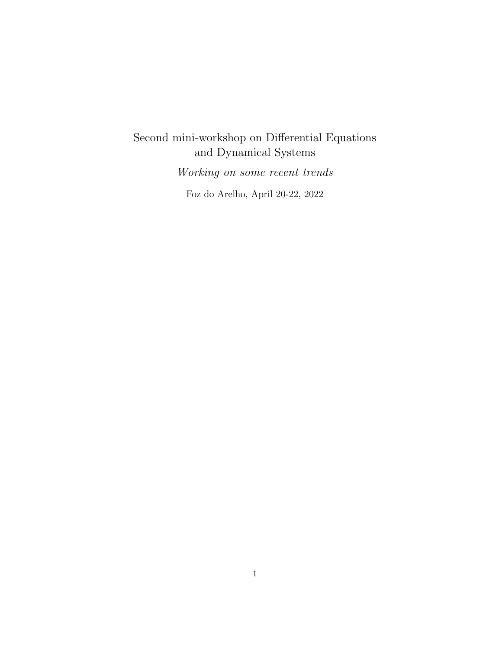# Second mini-workshop on Differential Equations and Dynamical Systems Working on some recent trends

Foz do Arelho, April 20-22, 2022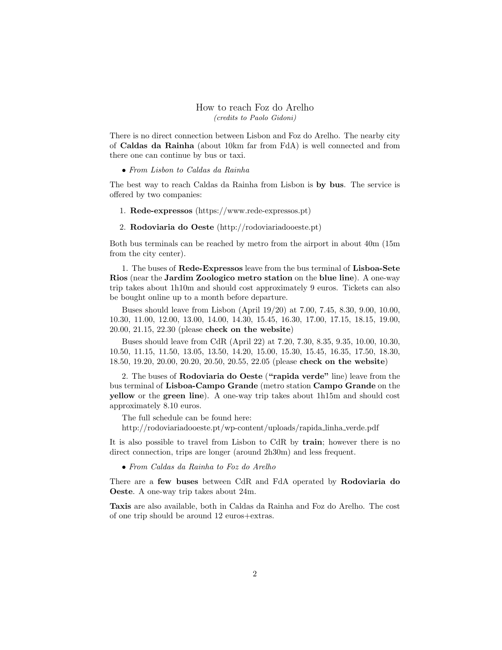#### How to reach Foz do Arelho (credits to Paolo Gidoni)

There is no direct connection between Lisbon and Foz do Arelho. The nearby city of Caldas da Rainha (about 10km far from FdA) is well connected and from there one can continue by bus or taxi.

#### • From Lisbon to Caldas da Rainha

The best way to reach Caldas da Rainha from Lisbon is by bus. The service is offered by two companies:

- 1. Rede-expressos (https://www.rede-expressos.pt)
- 2. Rodoviaria do Oeste (http://rodoviariadooeste.pt)

Both bus terminals can be reached by metro from the airport in about 40m (15m from the city center).

1. The buses of Rede-Expressos leave from the bus terminal of Lisboa-Sete Rios (near the Jardim Zoologico metro station on the blue line). A one-way trip takes about 1h10m and should cost approximately 9 euros. Tickets can also be bought online up to a month before departure.

Buses should leave from Lisbon (April 19/20) at 7.00, 7.45, 8.30, 9.00, 10.00, 10.30, 11.00, 12.00, 13.00, 14.00, 14.30, 15.45, 16.30, 17.00, 17.15, 18.15, 19.00, 20.00, 21.15, 22.30 (please check on the website)

Buses should leave from CdR (April 22) at 7.20, 7.30, 8.35, 9.35, 10.00, 10.30, 10.50, 11.15, 11.50, 13.05, 13.50, 14.20, 15.00, 15.30, 15.45, 16.35, 17.50, 18.30, 18.50, 19.20, 20.00, 20.20, 20.50, 20.55, 22.05 (please check on the website)

2. The buses of Rodoviaria do Oeste ("rapida verde" line) leave from the bus terminal of Lisboa-Campo Grande (metro station Campo Grande on the yellow or the green line). A one-way trip takes about 1h15m and should cost approximately 8.10 euros.

The full schedule can be found here:

http://rodoviariadooeste.pt/wp-content/uploads/rapida linha verde.pdf

It is also possible to travel from Lisbon to CdR by train; however there is no direct connection, trips are longer (around 2h30m) and less frequent.

• From Caldas da Rainha to Foz do Arelho

There are a few buses between CdR and FdA operated by Rodoviaria do Oeste. A one-way trip takes about 24m.

Taxis are also available, both in Caldas da Rainha and Foz do Arelho. The cost of one trip should be around 12 euros+extras.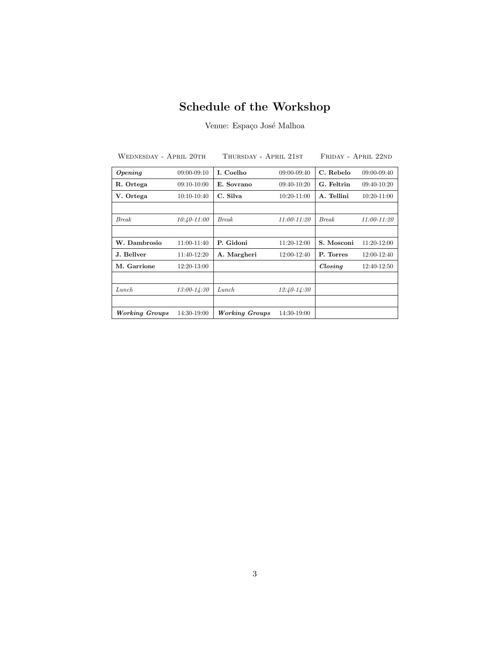## Schedule of the Workshop

Venue: Espaço José Malhoa

| WEDNESDAY - APRIL 20TH |                 | Thursday - April 21st |                 | FRIDAY - APRIL 22ND |               |
|------------------------|-----------------|-----------------------|-----------------|---------------------|---------------|
| $\boldsymbol{Opening}$ | $09:00 - 09:10$ | I. Coelho             | 09:00-09:40     | C. Rebelo           | 09:00-09:40   |
| R. Ortega              | $09:10-10:00$   | E. Sovrano            | $09:40-10:20$   | G. Feltrin          | $09:40-10:20$ |
| V. Ortega              | $10:10-10:40$   | C. Silva              | 10:20-11:00     | A. Tellini          | $10:20-11:00$ |
|                        |                 |                       |                 |                     |               |
| <b>Break</b>           | $10:40 - 11:00$ | <b>Break</b>          | $11:00 - 11:20$ | <b>Break</b>        | 11:00-11:20   |
|                        |                 |                       |                 |                     |               |
| W. Dambrosio           | 11:00-11:40     | P. Gidoni             | 11:20-12:00     | S. Mosconi          | $11:20-12:00$ |
| J. Bellver             | 11:40-12:20     | A. Margheri           | 12:00-12:40     | P. Torres           | 12:00-12:40   |
| M. Garrione            | $12:20-13:00$   |                       |                 | $\mathit{Closing}$  | 12:40-12:50   |
|                        |                 |                       |                 |                     |               |
| Lunch.                 | $13:00 - 14:30$ | Lunch                 | $12:40-14:30$   |                     |               |
|                        |                 |                       |                 |                     |               |
| <b>Working Groups</b>  | 14:30-19:00     | Working Groups        | 14:30-19:00     |                     |               |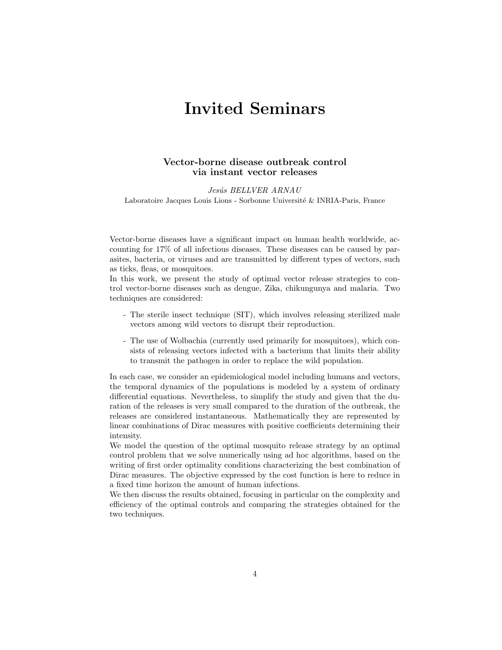## Invited Seminars

## Vector-borne disease outbreak control via instant vector releases

Jesús BELLVER ARNAU Laboratoire Jacques Louis Lions - Sorbonne Université & INRIA-Paris, France

Vector-borne diseases have a significant impact on human health worldwide, accounting for 17% of all infectious diseases. These diseases can be caused by parasites, bacteria, or viruses and are transmitted by different types of vectors, such as ticks, fleas, or mosquitoes.

In this work, we present the study of optimal vector release strategies to control vector-borne diseases such as dengue, Zika, chikungunya and malaria. Two techniques are considered:

- The sterile insect technique (SIT), which involves releasing sterilized male vectors among wild vectors to disrupt their reproduction.
- The use of Wolbachia (currently used primarily for mosquitoes), which consists of releasing vectors infected with a bacterium that limits their ability to transmit the pathogen in order to replace the wild population.

In each case, we consider an epidemiological model including humans and vectors, the temporal dynamics of the populations is modeled by a system of ordinary differential equations. Nevertheless, to simplify the study and given that the duration of the releases is very small compared to the duration of the outbreak, the releases are considered instantaneous. Mathematically they are represented by linear combinations of Dirac measures with positive coefficients determining their intensity.

We model the question of the optimal mosquito release strategy by an optimal control problem that we solve numerically using ad hoc algorithms, based on the writing of first order optimality conditions characterizing the best combination of Dirac measures. The objective expressed by the cost function is here to reduce in a fixed time horizon the amount of human infections.

We then discuss the results obtained, focusing in particular on the complexity and efficiency of the optimal controls and comparing the strategies obtained for the two techniques.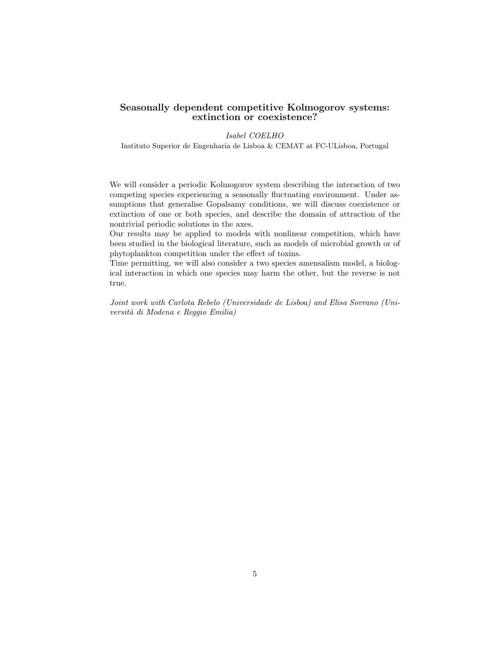#### Seasonally dependent competitive Kolmogorov systems: extinction or coexistence?

#### Isabel COELHO

Instituto Superior de Engenharia de Lisboa & CEMAT at FC-ULisboa, Portugal

We will consider a periodic Kolmogorov system describing the interaction of two competing species experiencing a seasonally fluctuating environment. Under assumptions that generalise Gopalsamy conditions, we will discuss coexistence or extinction of one or both species, and describe the domain of attraction of the nontrivial periodic solutions in the axes.

Our results may be applied to models with nonlinear competition, which have been studied in the biological literature, such as models of microbial growth or of phytoplankton competition under the effect of toxins.

Time permitting, we will also consider a two species amensalism model, a biological interaction in which one species may harm the other, but the reverse is not true.

Joint work with Carlota Rebelo (Universidade de Lisboa) and Elisa Sovrano (Universit`a di Modena e Reggio Emilia)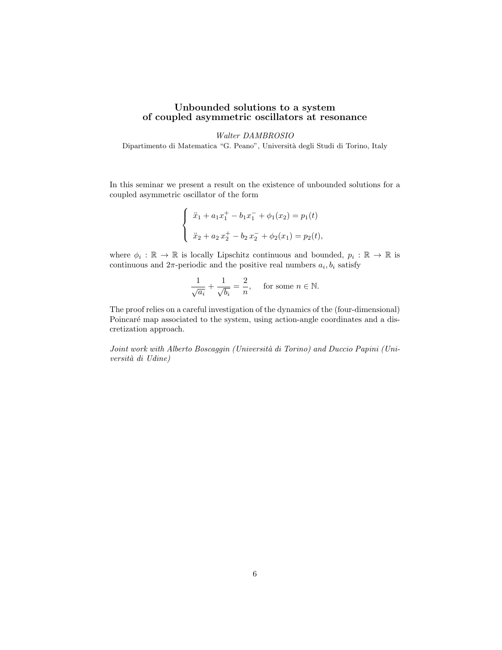#### Unbounded solutions to a system of coupled asymmetric oscillators at resonance

#### Walter DAMBROSIO

Dipartimento di Matematica "G. Peano", Università degli Studi di Torino, Italy

In this seminar we present a result on the existence of unbounded solutions for a coupled asymmetric oscillator of the form

$$
\begin{cases} \n\ddot{x}_1 + a_1 x_1^+ - b_1 x_1^- + \phi_1(x_2) = p_1(t) \\
\ddot{x}_2 + a_2 x_2^+ - b_2 x_2^- + \phi_2(x_1) = p_2(t), \n\end{cases}
$$

where  $\phi_i : \mathbb{R} \to \mathbb{R}$  is locally Lipschitz continuous and bounded,  $p_i : \mathbb{R} \to \mathbb{R}$  is continuous and  $2\pi$ -periodic and the positive real numbers  $a_i, b_i$  satisfy

$$
\frac{1}{\sqrt{a_i}} + \frac{1}{\sqrt{b_i}} = \frac{2}{n}, \quad \text{ for some } n \in \mathbb{N}.
$$

The proof relies on a careful investigation of the dynamics of the (four-dimensional) Poincaré map associated to the system, using action-angle coordinates and a discretization approach.

Joint work with Alberto Boscaggin (Università di Torino) and Duccio Papini (Università di Udine)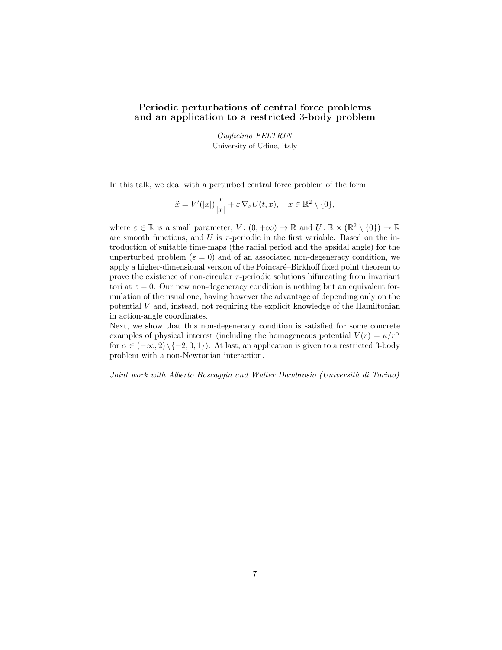## Periodic perturbations of central force problems and an application to a restricted 3-body problem

Guglielmo FELTRIN University of Udine, Italy

In this talk, we deal with a perturbed central force problem of the form

$$
\ddot{x} = V'(|x|) \frac{x}{|x|} + \varepsilon \nabla_x U(t, x), \quad x \in \mathbb{R}^2 \setminus \{0\},
$$

where  $\varepsilon \in \mathbb{R}$  is a small parameter,  $V: (0, +\infty) \to \mathbb{R}$  and  $U: \mathbb{R} \times (\mathbb{R}^2 \setminus \{0\}) \to \mathbb{R}$ are smooth functions, and  $U$  is  $\tau$ -periodic in the first variable. Based on the introduction of suitable time-maps (the radial period and the apsidal angle) for the unperturbed problem ( $\varepsilon = 0$ ) and of an associated non-degeneracy condition, we apply a higher-dimensional version of the Poincaré–Birkhoff fixed point theorem to prove the existence of non-circular  $\tau$ -periodic solutions bifurcating from invariant tori at  $\varepsilon = 0$ . Our new non-degeneracy condition is nothing but an equivalent formulation of the usual one, having however the advantage of depending only on the potential V and, instead, not requiring the explicit knowledge of the Hamiltonian in action-angle coordinates.

Next, we show that this non-degeneracy condition is satisfied for some concrete examples of physical interest (including the homogeneous potential  $V(r) = \kappa/r^{\alpha}$ for  $\alpha \in (-\infty, 2) \setminus \{-2, 0, 1\}$ . At last, an application is given to a restricted 3-body problem with a non-Newtonian interaction.

Joint work with Alberto Boscaggin and Walter Dambrosio (Università di Torino)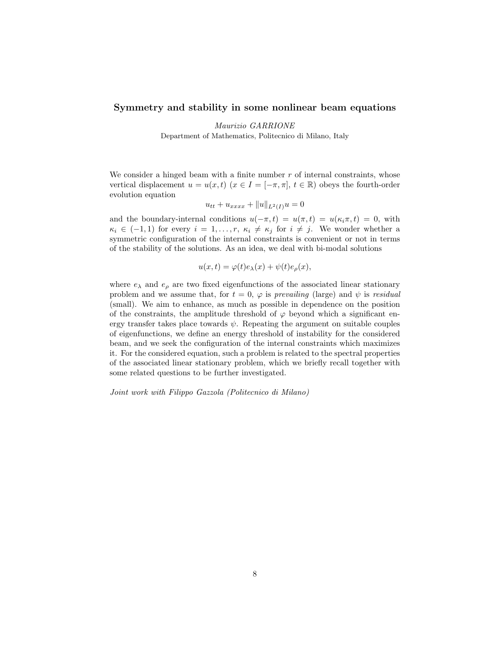#### Symmetry and stability in some nonlinear beam equations

Maurizio GARRIONE Department of Mathematics, Politecnico di Milano, Italy

We consider a hinged beam with a finite number  $r$  of internal constraints, whose vertical displacement  $u = u(x, t)$   $(x \in I = [-\pi, \pi], t \in \mathbb{R})$  obeys the fourth-order evolution equation

$$
u_{tt} + u_{xxxx} + ||u||_{L^2(I)}u = 0
$$

and the boundary-internal conditions  $u(-\pi, t) = u(\pi, t) = u(\kappa_i \pi, t) = 0$ , with  $\kappa_i \in (-1,1)$  for every  $i=1,\ldots,r$ ,  $\kappa_i \neq \kappa_j$  for  $i \neq j$ . We wonder whether a symmetric configuration of the internal constraints is convenient or not in terms of the stability of the solutions. As an idea, we deal with bi-modal solutions

$$
u(x,t) = \varphi(t)e_{\lambda}(x) + \psi(t)e_{\rho}(x),
$$

where  $e_{\lambda}$  and  $e_{\rho}$  are two fixed eigenfunctions of the associated linear stationary problem and we assume that, for  $t = 0$ ,  $\varphi$  is prevailing (large) and  $\psi$  is residual (small). We aim to enhance, as much as possible in dependence on the position of the constraints, the amplitude threshold of  $\varphi$  beyond which a significant energy transfer takes place towards  $\psi$ . Repeating the argument on suitable couples of eigenfunctions, we define an energy threshold of instability for the considered beam, and we seek the configuration of the internal constraints which maximizes it. For the considered equation, such a problem is related to the spectral properties of the associated linear stationary problem, which we briefly recall together with some related questions to be further investigated.

Joint work with Filippo Gazzola (Politecnico di Milano)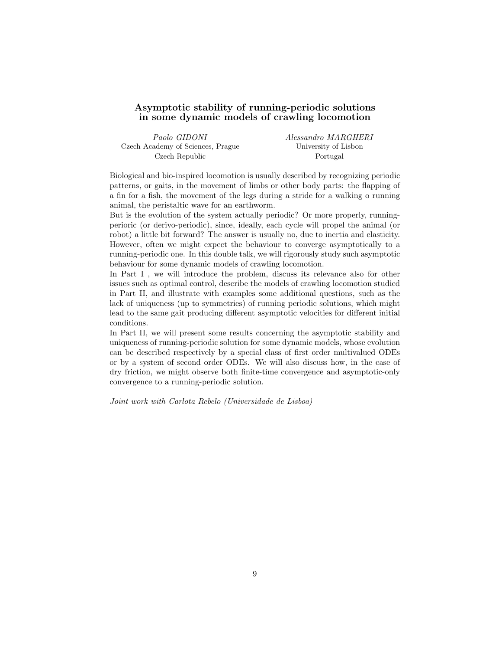#### Asymptotic stability of running-periodic solutions in some dynamic models of crawling locomotion

| Paolo GIDONI                      | Alessandro MARGHERI  |
|-----------------------------------|----------------------|
| Czech Academy of Sciences, Prague | University of Lisbon |
| Czech Republic                    | Portugal             |

Biological and bio-inspired locomotion is usually described by recognizing periodic patterns, or gaits, in the movement of limbs or other body parts: the flapping of a fin for a fish, the movement of the legs during a stride for a walking o running animal, the peristaltic wave for an earthworm.

But is the evolution of the system actually periodic? Or more properly, runningperioric (or derivo-periodic), since, ideally, each cycle will propel the animal (or robot) a little bit forward? The answer is usually no, due to inertia and elasticity. However, often we might expect the behaviour to converge asymptotically to a running-periodic one. In this double talk, we will rigorously study such asymptotic behaviour for some dynamic models of crawling locomotion.

In Part I , we will introduce the problem, discuss its relevance also for other issues such as optimal control, describe the models of crawling locomotion studied in Part II, and illustrate with examples some additional questions, such as the lack of uniqueness (up to symmetries) of running periodic solutions, which might lead to the same gait producing different asymptotic velocities for different initial conditions.

In Part II, we will present some results concerning the asymptotic stability and uniqueness of running-periodic solution for some dynamic models, whose evolution can be described respectively by a special class of first order multivalued ODEs or by a system of second order ODEs. We will also discuss how, in the case of dry friction, we might observe both finite-time convergence and asymptotic-only convergence to a running-periodic solution.

Joint work with Carlota Rebelo (Universidade de Lisboa)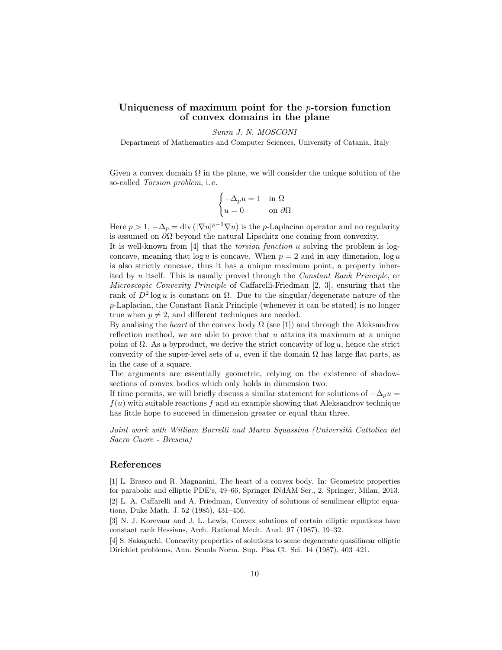## Uniqueness of maximum point for the p-torsion function of convex domains in the plane

Sunra J. N. MOSCONI

Department of Mathematics and Computer Sciences, University of Catania, Italy

Given a convex domain  $\Omega$  in the plane, we will consider the unique solution of the so-called Torsion problem, i. e.

$$
\begin{cases}\n-\Delta_p u = 1 & \text{in } \Omega \\
u = 0 & \text{on } \partial\Omega\n\end{cases}
$$

Here  $p > 1$ ,  $-\Delta_p = \text{div}(|\nabla u|^{p-2} \nabla u)$  is the *p*-Laplacian operator and no regularity is assumed on  $\partial\Omega$  beyond the natural Lipschitz one coming from convexity.

It is well-known from  $[4]$  that the *torsion function* u solving the problem is logconcave, meaning that  $log u$  is concave. When  $p = 2$  and in any dimension,  $log u$ is also strictly concave, thus it has a unique maximum point, a property inherited by u itself. This is usually proved through the Constant Rank Principle, or Microscopic Convexity Principle of Caffarelli-Friedman [2, 3], ensuring that the rank of  $D^2 \log u$  is constant on  $\Omega$ . Due to the singular/degenerate nature of the p-Laplacian, the Constant Rank Principle (whenever it can be stated) is no longer true when  $p \neq 2$ , and different techniques are needed.

By analising the heart of the convex body  $\Omega$  (see [1]) and through the Aleksandrov reflection method, we are able to prove that  $u$  attains its maximum at a unique point of  $\Omega$ . As a byproduct, we derive the strict concavity of log u, hence the strict convexity of the super-level sets of u, even if the domain  $\Omega$  has large flat parts, as in the case of a square.

The arguments are essentially geometric, relying on the existence of shadowsections of convex bodies which only holds in dimension two.

If time permits, we will briefly discuss a similar statement for solutions of  $-\Delta_p u =$  $f(u)$  with suitable reactions f and an example showing that Aleksandrov technique has little hope to succeed in dimension greater or equal than three.

Joint work with William Borrelli and Marco Squassina (Università Cattolica del Sacro Cuore - Brescia)

#### References

[1] L. Brasco and R. Magnanini, The heart of a convex body. In: Geometric properties for parabolic and elliptic PDE's, 49–66, Springer INdAM Ser., 2, Springer, Milan, 2013. [2] L. A. Caffarelli and A. Friedman, Convexity of solutions of semilinear elliptic equations, Duke Math. J. 52 (1985), 431–456.

[3] N. J. Korevaar and J. L. Lewis, Convex solutions of certain elliptic equations have constant rank Hessians, Arch. Rational Mech. Anal. 97 (1987), 19–32.

[4] S. Sakaguchi, Concavity properties of solutions to some degenerate quasilinear elliptic Dirichlet problems, Ann. Scuola Norm. Sup. Pisa Cl. Sci. 14 (1987), 403–421.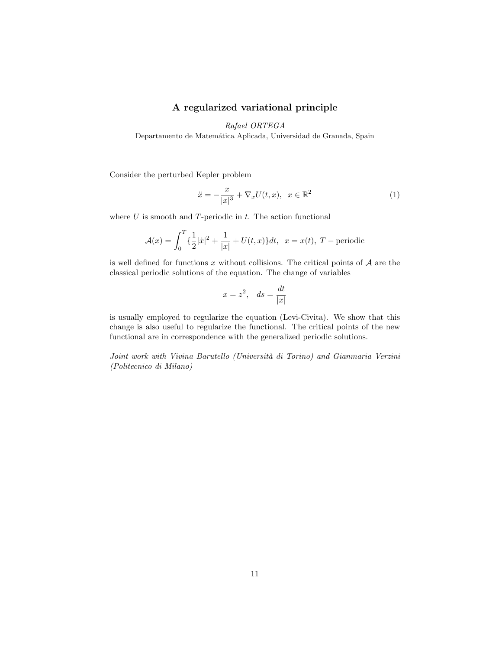## A regularized variational principle

Rafael ORTEGA

Departamento de Matemática Aplicada, Universidad de Granada, Spain

Consider the perturbed Kepler problem

$$
\ddot{x} = -\frac{x}{|x|^3} + \nabla_x U(t, x), \quad x \in \mathbb{R}^2
$$
\n
$$
(1)
$$

where  $U$  is smooth and  $T$ -periodic in  $t$ . The action functional

$$
\mathcal{A}(x) = \int_0^T \left\{ \frac{1}{2} |\dot{x}|^2 + \frac{1}{|x|} + U(t, x) \right\} dt, \ \ x = x(t), \ T - \text{periodic}
$$

is well defined for functions x without collisions. The critical points of  $A$  are the classical periodic solutions of the equation. The change of variables

$$
x = z^2, \quad ds = \frac{dt}{|x|}
$$

is usually employed to regularize the equation (Levi-Civita). We show that this change is also useful to regularize the functional. The critical points of the new functional are in correspondence with the generalized periodic solutions.

Joint work with Vivina Barutello (Università di Torino) and Gianmaria Verzini (Politecnico di Milano)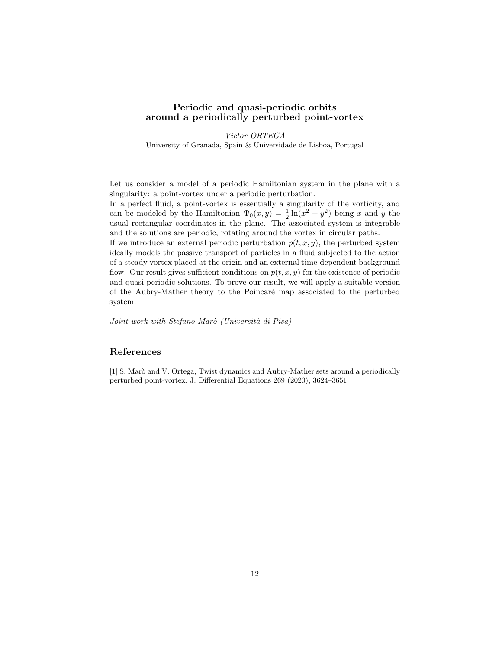## Periodic and quasi-periodic orbits around a periodically perturbed point-vortex

Víctor ORTEGA University of Granada, Spain & Universidade de Lisboa, Portugal

Let us consider a model of a periodic Hamiltonian system in the plane with a singularity: a point-vortex under a periodic perturbation.

In a perfect fluid, a point-vortex is essentially a singularity of the vorticity, and can be modeled by the Hamiltonian  $\Psi_0(x, y) = \frac{1}{2} \ln(x^2 + y^2)$  being x and y the usual rectangular coordinates in the plane. The associated system is integrable and the solutions are periodic, rotating around the vortex in circular paths.

If we introduce an external periodic perturbation  $p(t, x, y)$ , the perturbed system ideally models the passive transport of particles in a fluid subjected to the action of a steady vortex placed at the origin and an external time-dependent background flow. Our result gives sufficient conditions on  $p(t, x, y)$  for the existence of periodic and quasi-periodic solutions. To prove our result, we will apply a suitable version of the Aubry-Mather theory to the Poincar´e map associated to the perturbed system.

Joint work with Stefano Marò (Università di Pisa)

## References

[1] S. Marò and V. Ortega, Twist dynamics and Aubry-Mather sets around a periodically perturbed point-vortex, J. Differential Equations 269 (2020), 3624–3651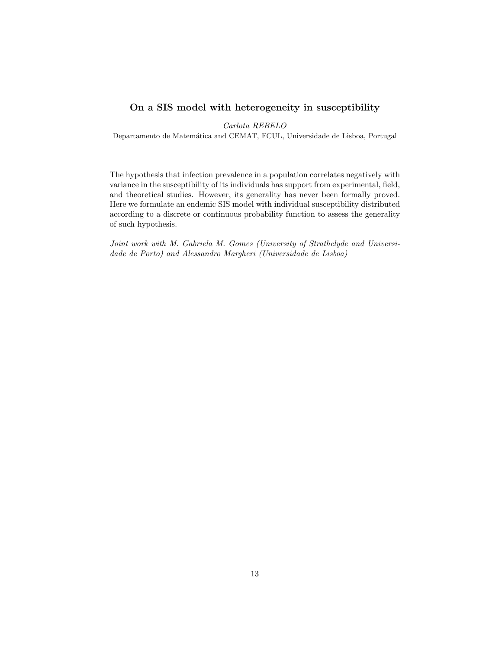## On a SIS model with heterogeneity in susceptibility

Carlota REBELO

Departamento de Matemática and CEMAT, FCUL, Universidade de Lisboa, Portugal

The hypothesis that infection prevalence in a population correlates negatively with variance in the susceptibility of its individuals has support from experimental, field, and theoretical studies. However, its generality has never been formally proved. Here we formulate an endemic SIS model with individual susceptibility distributed according to a discrete or continuous probability function to assess the generality of such hypothesis.

Joint work with M. Gabriela M. Gomes (University of Strathclyde and Universidade de Porto) and Alessandro Margheri (Universidade de Lisboa)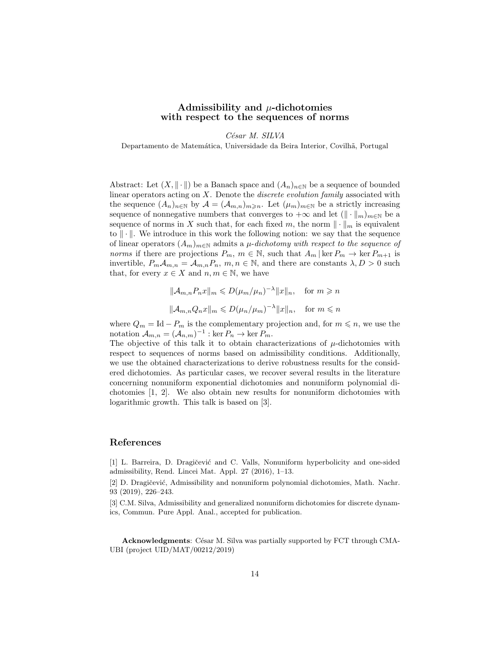#### Admissibility and  $\mu$ -dichotomies with respect to the sequences of norms

César M. SILVA

Departamento de Matemática, Universidade da Beira Interior, Covilhã, Portugal

Abstract: Let  $(X, \|\cdot\|)$  be a Banach space and  $(A_n)_{n\in\mathbb{N}}$  be a sequence of bounded linear operators acting on  $X$ . Denote the *discrete evolution family* associated with the sequence  $(A_n)_{n\in\mathbb{N}}$  by  $\mathcal{A} = (\mathcal{A}_{m,n})_{m\geq n}$ . Let  $(\mu_m)_{m\in\mathbb{N}}$  be a strictly increasing sequence of nonnegative numbers that converges to  $+\infty$  and let  $(\Vert \cdot \Vert_m)_{m \in \mathbb{N}}$  be a sequence of norms in X such that, for each fixed m, the norm  $\|\cdot\|_m$  is equivalent to  $\|\cdot\|$ . We introduce in this work the following notion: we say that the sequence of linear operators  $(A_m)_{m\in\mathbb{N}}$  admits a  $\mu$ -dichotomy with respect to the sequence of norms if there are projections  $P_m$ ,  $m \in \mathbb{N}$ , such that  $A_m$  | ker  $P_m \to \text{ker } P_{m+1}$  is invertible,  $P_m \mathcal{A}_{m,n} = \mathcal{A}_{m,n} P_n$ ,  $m, n \in \mathbb{N}$ , and there are constants  $\lambda, D > 0$  such that, for every  $x \in X$  and  $n, m \in \mathbb{N}$ , we have

$$
\|\mathcal{A}_{m,n}P_n x\|_m \le D(\mu_m/\mu_n)^{-\lambda} \|x\|_n, \text{ for } m \ge n
$$
  

$$
\|\mathcal{A}_{m,n}Q_n x\|_m \le D(\mu_n/\mu_m)^{-\lambda} \|x\|_n, \text{ for } m \le n
$$

where  $Q_m = \text{Id} - P_m$  is the complementary projection and, for  $m \leq n$ , we use the notation  $\mathcal{A}_{m,n} = (\mathcal{A}_{n,m})^{-1} : \ker P_n \to \ker P_m$ .

The objective of this talk it to obtain characterizations of  $\mu$ -dichotomies with respect to sequences of norms based on admissibility conditions. Additionally, we use the obtained characterizations to derive robustness results for the considered dichotomies. As particular cases, we recover several results in the literature concerning nonuniform exponential dichotomies and nonuniform polynomial dichotomies [1, 2]. We also obtain new results for nonuniform dichotomies with logarithmic growth. This talk is based on [3].

## References

[1] L. Barreira, D. Dragičević and C. Valls, Nonuniform hyperbolicity and one-sided admissibility, Rend. Lincei Mat. Appl. 27 (2016), 1–13.

[2] D. Dragičević, Admissibility and nonuniform polynomial dichotomies, Math. Nachr. 93 (2019), 226–243.

[3] C.M. Silva, Admissibility and generalized nonuniform dichotomies for discrete dynamics, Commun. Pure Appl. Anal., accepted for publication.

Acknowledgments: César M. Silva was partially supported by FCT through CMA-UBI (project UID/MAT/00212/2019)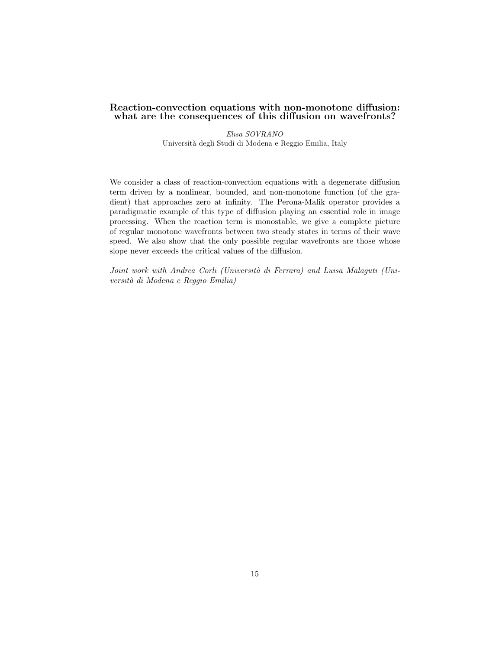#### Reaction-convection equations with non-monotone diffusion: what are the consequences of this diffusion on wavefronts?

Elisa SOVRANO Universit`a degli Studi di Modena e Reggio Emilia, Italy

We consider a class of reaction-convection equations with a degenerate diffusion term driven by a nonlinear, bounded, and non-monotone function (of the gradient) that approaches zero at infinity. The Perona-Malik operator provides a paradigmatic example of this type of diffusion playing an essential role in image processing. When the reaction term is monostable, we give a complete picture of regular monotone wavefronts between two steady states in terms of their wave speed. We also show that the only possible regular wavefronts are those whose slope never exceeds the critical values of the diffusion.

Joint work with Andrea Corli (Università di Ferrara) and Luisa Malaguti (Universit`a di Modena e Reggio Emilia)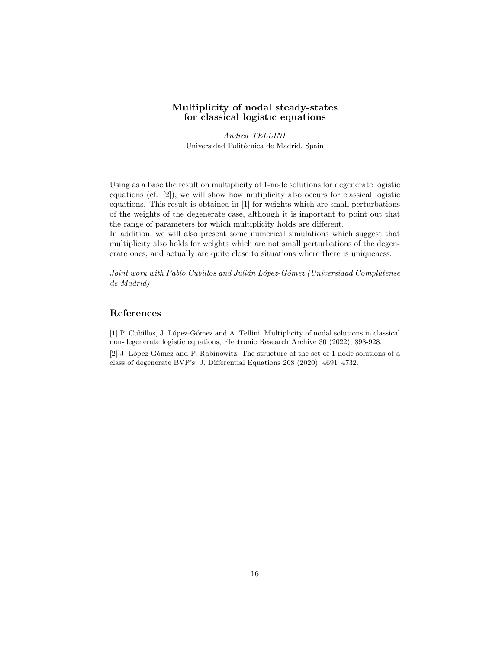### Multiplicity of nodal steady-states for classical logistic equations

Andrea TELLINI Universidad Politécnica de Madrid, Spain

Using as a base the result on multiplicity of 1-node solutions for degenerate logistic equations (cf. [2]), we will show how mutiplicity also occurs for classical logistic equations. This result is obtained in [1] for weights which are small perturbations of the weights of the degenerate case, although it is important to point out that the range of parameters for which multiplicity holds are different.

In addition, we will also present some numerical simulations which suggest that multiplicity also holds for weights which are not small perturbations of the degenerate ones, and actually are quite close to situations where there is uniqueness.

Joint work with Pablo Cubillos and Julián López-Gómez (Universidad Complutense de Madrid)

## References

[1] P. Cubillos, J. López-Gómez and A. Tellini, Multiplicity of nodal solutions in classical non-degenerate logistic equations, Electronic Research Archive 30 (2022), 898-928. [2] J. López-Gómez and P. Rabinowitz, The structure of the set of 1-node solutions of a

class of degenerate BVP's, J. Differential Equations 268 (2020), 4691–4732.